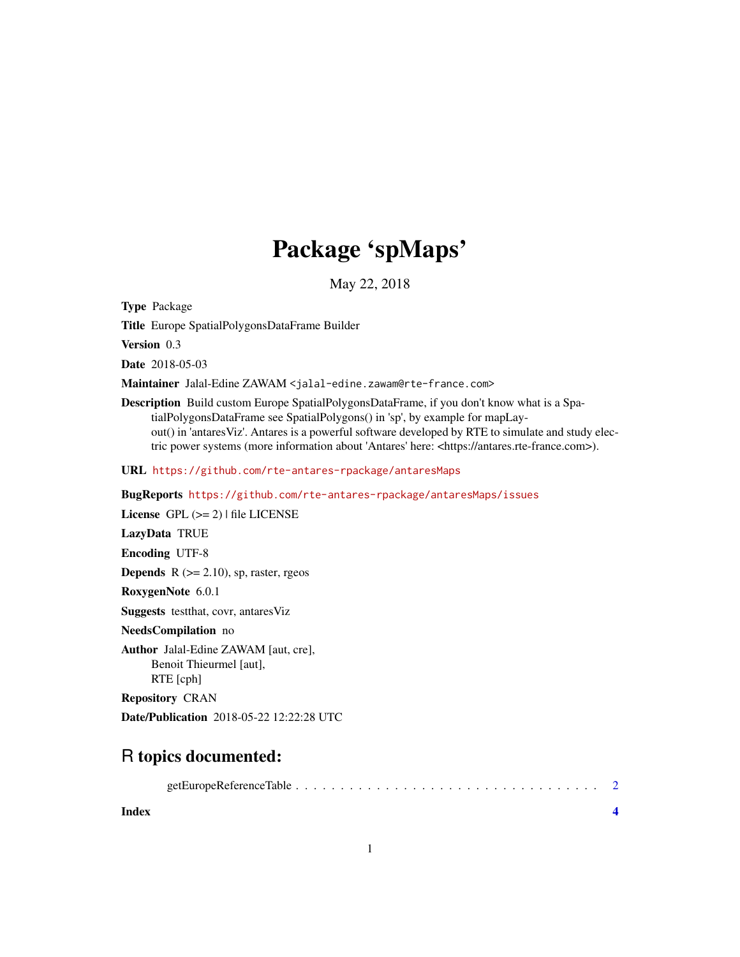## Package 'spMaps'

May 22, 2018

<span id="page-0-0"></span>Type Package

Title Europe SpatialPolygonsDataFrame Builder

Version 0.3

Date 2018-05-03

Maintainer Jalal-Edine ZAWAM <jalal-edine.zawam@rte-france.com>

Description Build custom Europe SpatialPolygonsDataFrame, if you don't know what is a SpatialPolygonsDataFrame see SpatialPolygons() in 'sp', by example for mapLayout() in 'antaresViz'. Antares is a powerful software developed by RTE to simulate and study electric power systems (more information about 'Antares' here: <https://antares.rte-france.com>).

URL <https://github.com/rte-antares-rpackage/antaresMaps>

BugReports <https://github.com/rte-antares-rpackage/antaresMaps/issues>

License GPL  $(>= 2)$  | file LICENSE

LazyData TRUE

Encoding UTF-8

**Depends**  $R$  ( $>= 2.10$ ), sp, raster, rgeos

RoxygenNote 6.0.1

Suggests testthat, covr, antaresViz

NeedsCompilation no

Author Jalal-Edine ZAWAM [aut, cre], Benoit Thieurmel [aut], RTE [cph]

Repository CRAN

Date/Publication 2018-05-22 12:22:28 UTC

### R topics documented:

|--|

**Index** [4](#page-3-0)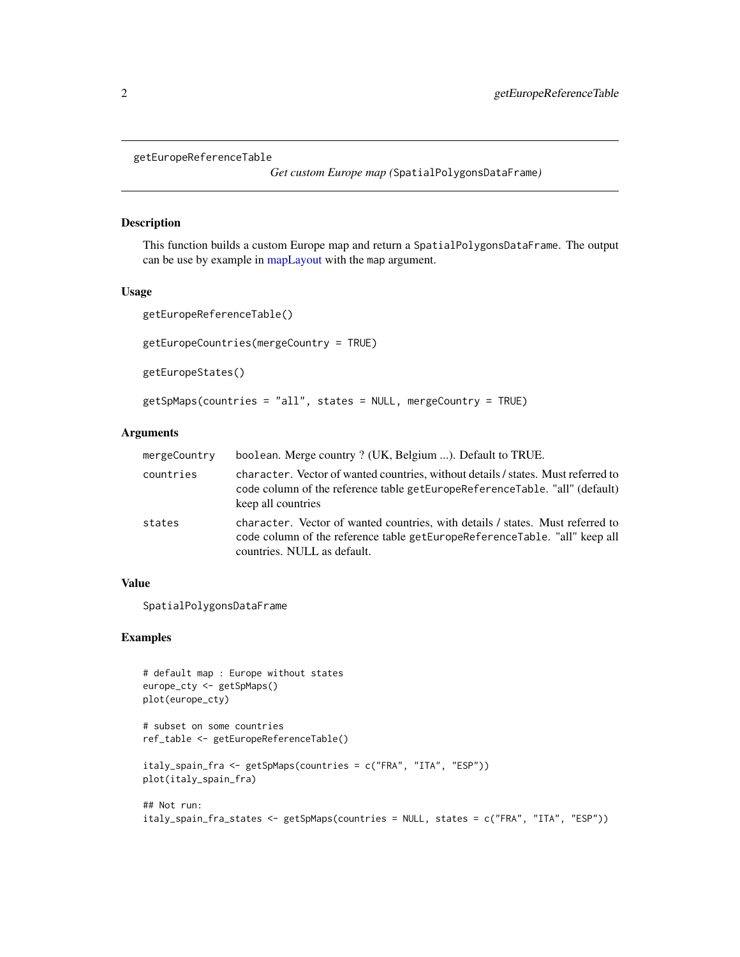```
getEuropeReferenceTable
```
*Get custom Europe map (*SpatialPolygonsDataFrame*)*

#### Description

This function builds a custom Europe map and return a SpatialPolygonsDataFrame. The output can be use by example in [mapLayout](#page-0-0) with the map argument.

#### Usage

```
getEuropeReferenceTable()
```

```
getEuropeCountries(mergeCountry = TRUE)
```
getEuropeStates()

```
getSpMaps(countries = "all", states = NULL, mergeCountry = TRUE)
```
#### Arguments

| mergeCountry | boolean. Merge country ? (UK, Belgium ). Default to TRUE.                                                                                                                                   |
|--------------|---------------------------------------------------------------------------------------------------------------------------------------------------------------------------------------------|
| countries    | character. Vector of wanted countries, without details / states. Must referred to<br>code column of the reference table getEuropeReferenceTable. "all" (default)<br>keep all countries      |
| states       | character. Vector of wanted countries, with details / states. Must referred to<br>code column of the reference table getEuropeReferenceTable. "all" keep all<br>countries. NULL as default. |

#### Value

SpatialPolygonsDataFrame

#### Examples

```
# default map : Europe without states
europe_cty <- getSpMaps()
plot(europe_cty)
# subset on some countries
ref_table <- getEuropeReferenceTable()
italy_spain_fra <- getSpMaps(countries = c("FRA", "ITA", "ESP"))
plot(italy_spain_fra)
## Not run:
italy_spain_fra_states <- getSpMaps(countries = NULL, states = c("FRA", "ITA", "ESP"))
```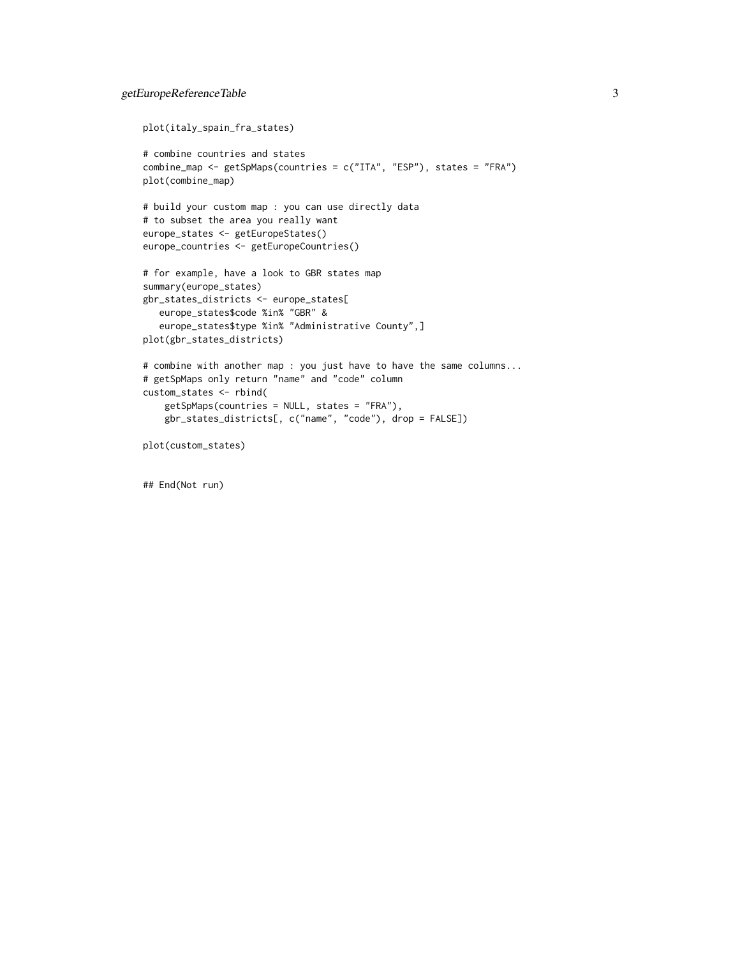```
plot(italy_spain_fra_states)
```

```
# combine countries and states
combine_map <- getSpMaps(countries = c("ITA", "ESP"), states = "FRA")
plot(combine_map)
```

```
# build your custom map : you can use directly data
# to subset the area you really want
europe_states <- getEuropeStates()
europe_countries <- getEuropeCountries()
```

```
# for example, have a look to GBR states map
summary(europe_states)
gbr_states_districts <- europe_states[
   europe_states$code %in% "GBR" &
   europe_states$type %in% "Administrative County",]
plot(gbr_states_districts)
```

```
# combine with another map : you just have to have the same columns...
# getSpMaps only return "name" and "code" column
custom_states <- rbind(
   getSpMaps(countries = NULL, states = "FRA"),
   gbr_states_districts[, c("name", "code"), drop = FALSE])
```
plot(custom\_states)

## End(Not run)